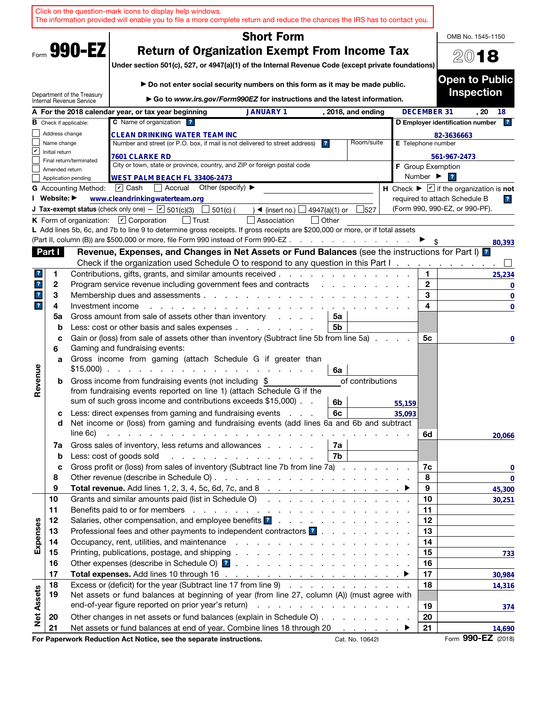|                         |                |                               | Click on the question-mark icons to display help windows.<br>The information provided will enable you to file a more complete return and reduce the chances the IRS has to contact you.                                                                                                                                     |                   |                                                                                                                                                         |               |                    |        |                              |                                                                             |
|-------------------------|----------------|-------------------------------|-----------------------------------------------------------------------------------------------------------------------------------------------------------------------------------------------------------------------------------------------------------------------------------------------------------------------------|-------------------|---------------------------------------------------------------------------------------------------------------------------------------------------------|---------------|--------------------|--------|------------------------------|-----------------------------------------------------------------------------|
|                         |                |                               |                                                                                                                                                                                                                                                                                                                             |                   | <b>Short Form</b>                                                                                                                                       |               |                    |        |                              | OMB No. 1545-1150                                                           |
|                         |                | Form 990-EZ                   | Under section 501(c), 527, or 4947(a)(1) of the Internal Revenue Code (except private foundations)                                                                                                                                                                                                                          |                   | <b>Return of Organization Exempt From Income Tax</b>                                                                                                    |               |                    |        |                              | 2018                                                                        |
|                         |                | Department of the Treasury    |                                                                                                                                                                                                                                                                                                                             |                   | Do not enter social security numbers on this form as it may be made public.<br>Go to www.irs.gov/Form990EZ for instructions and the latest information. |               |                    |        |                              | <b>Open to Public</b><br><b>Inspection</b>                                  |
|                         |                | Internal Revenue Service      | A For the 2018 calendar year, or tax year beginning                                                                                                                                                                                                                                                                         |                   | <b>JANUARY 1</b>                                                                                                                                        |               | , 2018, and ending |        | <b>DECEMBER 31</b>           | . 20<br>18                                                                  |
|                         |                | <b>B</b> Check if applicable: | C Name of organization ?                                                                                                                                                                                                                                                                                                    |                   |                                                                                                                                                         |               |                    |        |                              | 2 <br>D Employer identification number                                      |
|                         | Address change |                               | <b>CLEAN DRINKING WATER TEAM INC</b>                                                                                                                                                                                                                                                                                        |                   |                                                                                                                                                         |               |                    |        |                              | 82-3636663                                                                  |
|                         | Name change    |                               | Number and street (or P.O. box, if mail is not delivered to street address)                                                                                                                                                                                                                                                 |                   |                                                                                                                                                         | ?             | Room/suite         |        | E Telephone number           |                                                                             |
| V                       | Initial return |                               | <b>7601 CLARKE RD</b>                                                                                                                                                                                                                                                                                                       |                   |                                                                                                                                                         |               |                    |        |                              | 561-967-2473                                                                |
|                         | Amended return | Final return/terminated       | City or town, state or province, country, and ZIP or foreign postal code                                                                                                                                                                                                                                                    |                   |                                                                                                                                                         |               |                    |        |                              | <b>F</b> Group Exemption                                                    |
|                         |                | Application pending           | WEST PALM BEACH FL 33406-2473                                                                                                                                                                                                                                                                                               |                   |                                                                                                                                                         |               |                    |        | Number $\blacktriangleright$ | $\overline{\mathbf{r}}$                                                     |
|                         |                | <b>G</b> Accounting Method:   | $\boxed{\mathbf{v}}$ Cash<br>Accrual                                                                                                                                                                                                                                                                                        | Other (specify) ▶ |                                                                                                                                                         |               |                    |        |                              | H Check $\blacktriangleright \boxed{\mathbf{v}}$ if the organization is not |
|                         | I Website: ▶   |                               | www.cleandrinkingwaterteam.org                                                                                                                                                                                                                                                                                              |                   |                                                                                                                                                         |               |                    |        |                              | required to attach Schedule B<br>$\overline{\mathbf{r}}$                    |
|                         |                |                               | J Tax-exempt status (check only one) - $\boxed{\mathbf{v}}$ 501(c)(3)                                                                                                                                                                                                                                                       | 501(c) (          | $\triangleleft$ (insert no.)                                                                                                                            | 4947(a)(1) or | 527                |        |                              | (Form 990, 990-EZ, or 990-PF).                                              |
|                         |                |                               | K Form of organization: $\Box$ Corporation                                                                                                                                                                                                                                                                                  | │ Trust           | Association                                                                                                                                             | l lOther      |                    |        |                              |                                                                             |
|                         |                |                               | L Add lines 5b, 6c, and 7b to line 9 to determine gross receipts. If gross receipts are \$200,000 or more, or if total assets<br>(Part II, column (B)) are \$500,000 or more, file Form 990 instead of Form 990-EZ                                                                                                          |                   |                                                                                                                                                         |               |                    |        |                              |                                                                             |
|                         | Part I         |                               | Revenue, Expenses, and Changes in Net Assets or Fund Balances (see the instructions for Part I)                                                                                                                                                                                                                             |                   |                                                                                                                                                         |               |                    |        |                              | 80,393                                                                      |
|                         |                |                               | Check if the organization used Schedule O to respond to any question in this Part $1, 1, 2, 3, 4, 5, 6, 7, 8, 9$                                                                                                                                                                                                            |                   |                                                                                                                                                         |               |                    |        |                              |                                                                             |
| ?                       | 1              |                               | Contributions, gifts, grants, and similar amounts received.                                                                                                                                                                                                                                                                 |                   |                                                                                                                                                         |               |                    |        | 1.                           | 25,234                                                                      |
| $\overline{\mathbf{r}}$ | 2              |                               | Program service revenue including government fees and contracts                                                                                                                                                                                                                                                             |                   |                                                                                                                                                         |               |                    |        | $\mathbf{2}$                 | 0                                                                           |
| $\mathbf{r}$            | 3              |                               | Membership dues and assessments                                                                                                                                                                                                                                                                                             |                   |                                                                                                                                                         |               |                    |        | 3                            | $\mathbf 0$                                                                 |
| $\overline{\mathbf{r}}$ | 4              | Investment income             |                                                                                                                                                                                                                                                                                                                             |                   |                                                                                                                                                         |               |                    |        | 4                            | $\mathbf 0$                                                                 |
|                         | 5a             |                               | Gross amount from sale of assets other than inventory                                                                                                                                                                                                                                                                       |                   | and a state                                                                                                                                             | 5a            |                    |        |                              |                                                                             |
|                         | b              |                               | Less: cost or other basis and sales expenses                                                                                                                                                                                                                                                                                |                   |                                                                                                                                                         | 5b            |                    |        |                              |                                                                             |
|                         | c<br>6         |                               | Gain or (loss) from sale of assets other than inventory (Subtract line 5b from line 5a).<br>Gaming and fundraising events:                                                                                                                                                                                                  |                   |                                                                                                                                                         |               |                    |        | 5с                           | 0                                                                           |
|                         | a              |                               | Gross income from gaming (attach Schedule G if greater than<br>$$15,000$                                                                                                                                                                                                                                                    |                   |                                                                                                                                                         | 6a            |                    |        |                              |                                                                             |
| Revenue                 | b              |                               | Gross income from fundraising events (not including \$<br>from fundraising events reported on line 1) (attach Schedule G if the<br>sum of such gross income and contributions exceeds \$15,000).                                                                                                                            |                   |                                                                                                                                                         | 6b            | of contributions   | 55,159 |                              |                                                                             |
|                         | с              |                               | Less: direct expenses from gaming and fundraising events                                                                                                                                                                                                                                                                    |                   |                                                                                                                                                         | 6с            |                    | 35,093 |                              |                                                                             |
|                         | d              | line 6c)                      | Net income or (loss) from gaming and fundraising events (add lines 6a and 6b and subtract<br>and the contract of the contract of the contract of the contract of the contract of the contract of the contract of the contract of the contract of the contract of the contract of the contract of the contract of the contra |                   |                                                                                                                                                         |               |                    |        | 6d                           | 20.066                                                                      |
|                         | 7a             |                               | Gross sales of inventory, less returns and allowances                                                                                                                                                                                                                                                                       |                   |                                                                                                                                                         | 7a            |                    |        |                              |                                                                             |
|                         | $\mathbf b$    |                               | Less: cost of goods sold                                                                                                                                                                                                                                                                                                    |                   |                                                                                                                                                         | 7b            |                    |        |                              |                                                                             |
|                         | c              |                               | Gross profit or (loss) from sales of inventory (Subtract line 7b from line 7a)                                                                                                                                                                                                                                              |                   |                                                                                                                                                         |               |                    |        | 7c                           | 0                                                                           |
|                         | 8              |                               |                                                                                                                                                                                                                                                                                                                             |                   |                                                                                                                                                         |               |                    |        | 8                            | $\bf{0}$                                                                    |
|                         | 9              |                               |                                                                                                                                                                                                                                                                                                                             |                   |                                                                                                                                                         |               |                    |        | 9                            | 45,300                                                                      |
|                         | 10             |                               | Grants and similar amounts paid (list in Schedule O)                                                                                                                                                                                                                                                                        |                   |                                                                                                                                                         |               |                    |        | 10                           | 30,251                                                                      |
|                         | 11<br>12       |                               |                                                                                                                                                                                                                                                                                                                             |                   |                                                                                                                                                         |               |                    |        | 11<br>12                     |                                                                             |
| Expenses                | 13             |                               |                                                                                                                                                                                                                                                                                                                             |                   |                                                                                                                                                         |               |                    |        | 13                           |                                                                             |
|                         | 14             |                               |                                                                                                                                                                                                                                                                                                                             |                   |                                                                                                                                                         |               |                    |        | 14                           |                                                                             |
|                         | 15             |                               |                                                                                                                                                                                                                                                                                                                             |                   |                                                                                                                                                         |               |                    |        | 15                           | 733                                                                         |
|                         | 16             |                               |                                                                                                                                                                                                                                                                                                                             |                   |                                                                                                                                                         |               |                    |        | 16                           |                                                                             |
|                         | 17             |                               |                                                                                                                                                                                                                                                                                                                             |                   |                                                                                                                                                         |               |                    |        | 17                           | 30,984                                                                      |
|                         | 18             |                               | Excess or (deficit) for the year (Subtract line 17 from line 9)                                                                                                                                                                                                                                                             |                   |                                                                                                                                                         |               |                    |        | 18                           | 14,316                                                                      |
| <b>Net Assets</b>       | 19             |                               | Net assets or fund balances at beginning of year (from line 27, column (A)) (must agree with                                                                                                                                                                                                                                |                   |                                                                                                                                                         |               |                    |        |                              |                                                                             |
|                         |                |                               |                                                                                                                                                                                                                                                                                                                             |                   |                                                                                                                                                         |               |                    |        | 19                           | 374                                                                         |
|                         | 20             |                               | Other changes in net assets or fund balances (explain in Schedule O)                                                                                                                                                                                                                                                        |                   |                                                                                                                                                         |               |                    |        | 20                           |                                                                             |
|                         | 21             |                               | Net assets or fund balances at end of year. Combine lines 18 through 20                                                                                                                                                                                                                                                     |                   |                                                                                                                                                         |               |                    |        | 21                           | 14,690<br>Form 990-EZ (2018)                                                |
|                         |                |                               | For Paperwork Reduction Act Notice, see the separate instructions.                                                                                                                                                                                                                                                          |                   |                                                                                                                                                         |               | Cat. No. 10642I    |        |                              |                                                                             |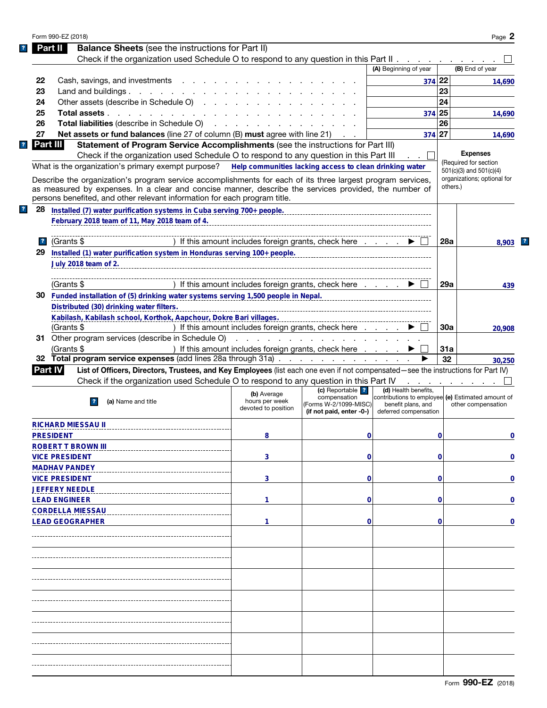| Part II<br>22<br>23 | <b>Balance Sheets</b> (see the instructions for Part II)                                                                                                                                                                                                                                          |                                                                                                                 |                                                                                                                |                                                                                                                          |          | Page 2                      |
|---------------------|---------------------------------------------------------------------------------------------------------------------------------------------------------------------------------------------------------------------------------------------------------------------------------------------------|-----------------------------------------------------------------------------------------------------------------|----------------------------------------------------------------------------------------------------------------|--------------------------------------------------------------------------------------------------------------------------|----------|-----------------------------|
|                     |                                                                                                                                                                                                                                                                                                   |                                                                                                                 |                                                                                                                |                                                                                                                          |          |                             |
|                     | Check if the organization used Schedule O to respond to any question in this Part II                                                                                                                                                                                                              |                                                                                                                 |                                                                                                                |                                                                                                                          |          |                             |
|                     |                                                                                                                                                                                                                                                                                                   |                                                                                                                 |                                                                                                                | (A) Beginning of year                                                                                                    |          | (B) End of year             |
|                     | Cash, savings, and investments                                                                                                                                                                                                                                                                    |                                                                                                                 |                                                                                                                | 374 22                                                                                                                   |          | 14,690                      |
|                     | Land and buildings                                                                                                                                                                                                                                                                                |                                                                                                                 |                                                                                                                |                                                                                                                          | 23       |                             |
| 24                  | Other assets (describe in Schedule O)                                                                                                                                                                                                                                                             |                                                                                                                 |                                                                                                                |                                                                                                                          | 24       |                             |
| 25                  | Total assets                                                                                                                                                                                                                                                                                      |                                                                                                                 |                                                                                                                | 374 25                                                                                                                   |          | 14,690                      |
| 26                  | Total liabilities (describe in Schedule O)                                                                                                                                                                                                                                                        | the contract of the contract of the contract of the contract of the contract of the contract of the contract of |                                                                                                                |                                                                                                                          | 26       |                             |
| 27                  | Net assets or fund balances (line 27 of column (B) must agree with line 21)                                                                                                                                                                                                                       |                                                                                                                 |                                                                                                                | 374 27                                                                                                                   |          | 14,690                      |
| Part III.           | Statement of Program Service Accomplishments (see the instructions for Part III)                                                                                                                                                                                                                  |                                                                                                                 |                                                                                                                |                                                                                                                          |          |                             |
|                     | Check if the organization used Schedule O to respond to any question in this Part III                                                                                                                                                                                                             |                                                                                                                 |                                                                                                                |                                                                                                                          |          | <b>Expenses</b>             |
|                     | What is the organization's primary exempt purpose? Help communities lacking access to clean drinking water                                                                                                                                                                                        |                                                                                                                 |                                                                                                                |                                                                                                                          |          | (Required for section       |
|                     |                                                                                                                                                                                                                                                                                                   |                                                                                                                 |                                                                                                                |                                                                                                                          |          | $501(c)(3)$ and $501(c)(4)$ |
|                     | Describe the organization's program service accomplishments for each of its three largest program services,<br>as measured by expenses. In a clear and concise manner, describe the services provided, the number of<br>persons benefited, and other relevant information for each program title. |                                                                                                                 |                                                                                                                |                                                                                                                          | others.) | organizations; optional for |
| 28                  | Installed (7) water purification systems in Cuba serving 700+ people.                                                                                                                                                                                                                             |                                                                                                                 |                                                                                                                |                                                                                                                          |          |                             |
|                     | February 2018 team of 11, May 2018 team of 4.                                                                                                                                                                                                                                                     |                                                                                                                 |                                                                                                                |                                                                                                                          |          |                             |
| $\mathbf{R}$        | (Grants \$                                                                                                                                                                                                                                                                                        | ) If this amount includes foreign grants, check here                                                            |                                                                                                                |                                                                                                                          | 28a      | 8.903                       |
| 29                  |                                                                                                                                                                                                                                                                                                   |                                                                                                                 |                                                                                                                |                                                                                                                          |          |                             |
|                     | July 2018 team of 2.                                                                                                                                                                                                                                                                              |                                                                                                                 |                                                                                                                |                                                                                                                          |          |                             |
|                     | (Grants \$                                                                                                                                                                                                                                                                                        | ) If this amount includes foreign grants, check here                                                            |                                                                                                                |                                                                                                                          | 29a      | 439                         |
| 30                  | Funded installation of (5) drinking water systems serving 1,500 people in Nepal.                                                                                                                                                                                                                  |                                                                                                                 |                                                                                                                |                                                                                                                          |          |                             |
|                     | Distributed (30) drinking water filters.                                                                                                                                                                                                                                                          |                                                                                                                 |                                                                                                                |                                                                                                                          |          |                             |
|                     | Kabilash, Kabilash school, Korthok, Aapchour, Dokre Bari villages.                                                                                                                                                                                                                                |                                                                                                                 |                                                                                                                |                                                                                                                          |          |                             |
|                     | (Grants \$                                                                                                                                                                                                                                                                                        | ) If this amount includes foreign grants, check here                                                            |                                                                                                                |                                                                                                                          | 30a      | 20,908                      |
|                     | 31 Other program services (describe in Schedule O)                                                                                                                                                                                                                                                |                                                                                                                 | de la característica de la característica de la característica de la característica de la característica de la |                                                                                                                          |          |                             |
|                     | (Grants \$                                                                                                                                                                                                                                                                                        | ) If this amount includes foreign grants, check here                                                            |                                                                                                                |                                                                                                                          | 31a      |                             |
|                     | 32 Total program service expenses (add lines 28a through 31a)                                                                                                                                                                                                                                     |                                                                                                                 |                                                                                                                |                                                                                                                          | 32       | 30,250                      |
| Part IV             | List of Officers, Directors, Trustees, and Key Employees (list each one even if not compensated-see the instructions for Part IV)                                                                                                                                                                 |                                                                                                                 |                                                                                                                |                                                                                                                          |          |                             |
|                     | Check if the organization used Schedule O to respond to any question in this Part IV                                                                                                                                                                                                              |                                                                                                                 |                                                                                                                |                                                                                                                          |          |                             |
|                     | (a) Name and title<br>$\mathbf{r}$                                                                                                                                                                                                                                                                | (b) Average<br>hours per week<br>devoted to position                                                            | (c) Reportable ?<br>compensation<br>(Forms W-2/1099-MISC)<br>(if not paid, enter -0-)                          | (d) Health benefits,<br>contributions to employee (e) Estimated amount of<br>benefit plans, and<br>deferred compensation |          | other compensation          |
|                     | <b>RICHARD MIESSAU II</b>                                                                                                                                                                                                                                                                         |                                                                                                                 |                                                                                                                |                                                                                                                          |          |                             |
| <b>PRESIDENT</b>    |                                                                                                                                                                                                                                                                                                   | 8                                                                                                               | 0                                                                                                              |                                                                                                                          | 0        | 0                           |
|                     | <b>ROBERT T BROWN III</b>                                                                                                                                                                                                                                                                         |                                                                                                                 |                                                                                                                |                                                                                                                          |          |                             |
|                     | <b>VICE PRESIDENT</b>                                                                                                                                                                                                                                                                             | 3                                                                                                               | 0                                                                                                              |                                                                                                                          | 0        | 0                           |
|                     | <b>MADHAV PANDEY</b>                                                                                                                                                                                                                                                                              |                                                                                                                 |                                                                                                                |                                                                                                                          |          |                             |
|                     | <b>VICE PRESIDENT</b>                                                                                                                                                                                                                                                                             | 3                                                                                                               | 0                                                                                                              |                                                                                                                          | 0        | 0                           |
|                     | <b>JEFFERY NEEDLE</b>                                                                                                                                                                                                                                                                             |                                                                                                                 |                                                                                                                |                                                                                                                          |          |                             |
|                     | <b>LEAD ENGINEER</b>                                                                                                                                                                                                                                                                              | 1                                                                                                               | 0                                                                                                              |                                                                                                                          | 0        | 0                           |
|                     | <b>CORDELLA MIESSAU</b>                                                                                                                                                                                                                                                                           |                                                                                                                 |                                                                                                                |                                                                                                                          |          |                             |
|                     | <b>LEAD GEOGRAPHER</b>                                                                                                                                                                                                                                                                            | 1                                                                                                               | 0                                                                                                              |                                                                                                                          | 0        | 0                           |
|                     |                                                                                                                                                                                                                                                                                                   |                                                                                                                 |                                                                                                                |                                                                                                                          |          |                             |
|                     |                                                                                                                                                                                                                                                                                                   |                                                                                                                 |                                                                                                                |                                                                                                                          |          |                             |
|                     |                                                                                                                                                                                                                                                                                                   |                                                                                                                 |                                                                                                                |                                                                                                                          |          |                             |
|                     |                                                                                                                                                                                                                                                                                                   |                                                                                                                 |                                                                                                                |                                                                                                                          |          |                             |
|                     |                                                                                                                                                                                                                                                                                                   |                                                                                                                 |                                                                                                                |                                                                                                                          |          |                             |
|                     |                                                                                                                                                                                                                                                                                                   |                                                                                                                 |                                                                                                                |                                                                                                                          |          |                             |
|                     |                                                                                                                                                                                                                                                                                                   |                                                                                                                 |                                                                                                                |                                                                                                                          |          |                             |
|                     |                                                                                                                                                                                                                                                                                                   |                                                                                                                 |                                                                                                                |                                                                                                                          |          |                             |
|                     |                                                                                                                                                                                                                                                                                                   |                                                                                                                 |                                                                                                                |                                                                                                                          |          |                             |
|                     |                                                                                                                                                                                                                                                                                                   |                                                                                                                 |                                                                                                                |                                                                                                                          |          |                             |
|                     |                                                                                                                                                                                                                                                                                                   |                                                                                                                 |                                                                                                                |                                                                                                                          |          |                             |
|                     |                                                                                                                                                                                                                                                                                                   |                                                                                                                 |                                                                                                                |                                                                                                                          |          |                             |
|                     |                                                                                                                                                                                                                                                                                                   |                                                                                                                 |                                                                                                                |                                                                                                                          |          |                             |
|                     |                                                                                                                                                                                                                                                                                                   |                                                                                                                 |                                                                                                                |                                                                                                                          |          |                             |
|                     |                                                                                                                                                                                                                                                                                                   |                                                                                                                 |                                                                                                                |                                                                                                                          |          |                             |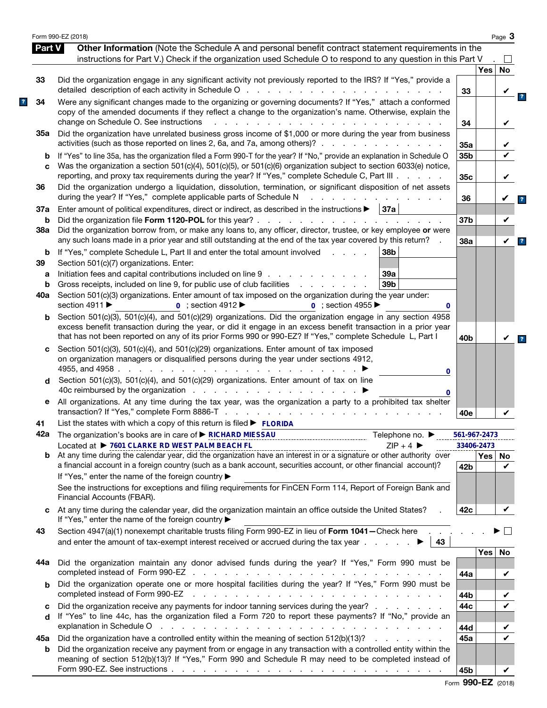|               | Form 990-EZ (2018)                                                                                                                                                                                                                                                                                                                                                                                                                                                                        |                 |          | Page 3             |
|---------------|-------------------------------------------------------------------------------------------------------------------------------------------------------------------------------------------------------------------------------------------------------------------------------------------------------------------------------------------------------------------------------------------------------------------------------------------------------------------------------------------|-----------------|----------|--------------------|
| <b>Part V</b> | Other Information (Note the Schedule A and personal benefit contract statement requirements in the<br>instructions for Part V.) Check if the organization used Schedule O to respond to any question in this Part V                                                                                                                                                                                                                                                                       |                 |          |                    |
|               |                                                                                                                                                                                                                                                                                                                                                                                                                                                                                           |                 | Yes      | <b>No</b>          |
| 33            | Did the organization engage in any significant activity not previously reported to the IRS? If "Yes," provide a                                                                                                                                                                                                                                                                                                                                                                           | 33              |          |                    |
| 34            | Were any significant changes made to the organizing or governing documents? If "Yes," attach a conformed<br>copy of the amended documents if they reflect a change to the organization's name. Otherwise, explain the<br>change on Schedule O. See instructions<br>and a strain and a strain and                                                                                                                                                                                          | 34              |          | V                  |
| 35а           | Did the organization have unrelated business gross income of \$1,000 or more during the year from business<br>activities (such as those reported on lines 2, 6a, and 7a, among others)?                                                                                                                                                                                                                                                                                                   | 35a             |          |                    |
| b<br>C        | If "Yes" to line 35a, has the organization filed a Form 990-T for the year? If "No," provide an explanation in Schedule O<br>Was the organization a section 501(c)(4), 501(c)(5), or 501(c)(6) organization subject to section 6033(e) notice,                                                                                                                                                                                                                                            | 35b             |          |                    |
| 36            | reporting, and proxy tax requirements during the year? If "Yes," complete Schedule C, Part III<br>Did the organization undergo a liquidation, dissolution, termination, or significant disposition of net assets                                                                                                                                                                                                                                                                          | 35c             |          | V                  |
| 37a           | during the year? If "Yes," complete applicable parts of Schedule N<br>Enter amount of political expenditures, direct or indirect, as described in the instructions $\blacktriangleright$   37a                                                                                                                                                                                                                                                                                            | 36              |          | V                  |
| b<br>38a      | Did the organization borrow from, or make any loans to, any officer, director, trustee, or key employee or were                                                                                                                                                                                                                                                                                                                                                                           | 37b             |          | V                  |
| b             | any such loans made in a prior year and still outstanding at the end of the tax year covered by this return?<br>If "Yes," complete Schedule L, Part II and enter the total amount involved<br>38b<br>and the control of                                                                                                                                                                                                                                                                   | 38a             |          | $\checkmark$       |
| 39<br>а       | Section 501(c)(7) organizations. Enter:<br>Initiation fees and capital contributions included on line 9<br>39a                                                                                                                                                                                                                                                                                                                                                                            |                 |          |                    |
| b             | Gross receipts, included on line 9, for public use of club facilities<br>39 <sub>b</sub><br>and a state of the state of the                                                                                                                                                                                                                                                                                                                                                               |                 |          |                    |
| 40a           | Section 501(c)(3) organizations. Enter amount of tax imposed on the organization during the year under:<br>section 4911 ▶<br>$0$ ; section 4912<br>$0$ ; section 4955<br>0                                                                                                                                                                                                                                                                                                                |                 |          |                    |
| b             | Section 501(c)(3), 501(c)(4), and 501(c)(29) organizations. Did the organization engage in any section 4958<br>excess benefit transaction during the year, or did it engage in an excess benefit transaction in a prior year<br>that has not been reported on any of its prior Forms 990 or 990-EZ? If "Yes," complete Schedule L, Part I                                                                                                                                                 | 40b             |          |                    |
| c<br>d        | Section 501(c)(3), 501(c)(4), and 501(c)(29) organizations. Enter amount of tax imposed<br>on organization managers or disqualified persons during the year under sections 4912,<br>4955, and 4958.<br>the contract of the contract of the<br>0<br>Section 501(c)(3), 501(c)(4), and 501(c)(29) organizations. Enter amount of tax on line                                                                                                                                                |                 |          |                    |
| е             | 0<br>All organizations. At any time during the tax year, was the organization a party to a prohibited tax shelter                                                                                                                                                                                                                                                                                                                                                                         |                 |          |                    |
| 41            | List the states with which a copy of this return is filed $\blacktriangleright$ FLORIDA                                                                                                                                                                                                                                                                                                                                                                                                   | 40e             |          |                    |
|               | 42a The organization's books are in care of ► RICHARD MIESSAU<br>Telephone no. $\blacktriangleright$                                                                                                                                                                                                                                                                                                                                                                                      | 561-967-2473    |          |                    |
|               | Located at ▶ 7601 CLARKE RD WEST PALM BEACH FL<br>$ZIP + 4$                                                                                                                                                                                                                                                                                                                                                                                                                               | 33406-2473      |          |                    |
| b             | $\frac{1}{2}P + 4$ $\frac{1}{2}P + 4$ $\frac{1}{2}P + 4$ $\frac{1}{2}P + 4$ $\frac{1}{2}P + 4$ $\frac{1}{2}P + 4$ $\frac{1}{2}P + 4$ $\frac{1}{2}P + 4$ $\frac{1}{2}P + 4$ $\frac{1}{2}P + 4$ $\frac{1}{2}P + 4$ $\frac{1}{2}P + 4$ $\frac{1}{2}P + 4$ $\frac{1}{2}P + 4$ $\frac{1}{2}P + 4$ $\frac{1}{2}P + $<br>a financial account in a foreign country (such as a bank account, securities account, or other financial account)?<br>If "Yes," enter the name of the foreign country ▶ | 42 <sub>b</sub> | Yes   No | $\boldsymbol{\nu}$ |
|               | See the instructions for exceptions and filing requirements for FinCEN Form 114, Report of Foreign Bank and<br>Financial Accounts (FBAR).                                                                                                                                                                                                                                                                                                                                                 |                 |          |                    |
| C             | At any time during the calendar year, did the organization maintain an office outside the United States?<br>If "Yes," enter the name of the foreign country ▶                                                                                                                                                                                                                                                                                                                             | 42c             |          | V                  |
| 43            | Section 4947(a)(1) nonexempt charitable trusts filing Form 990-EZ in lieu of Form 1041-Check here<br>43                                                                                                                                                                                                                                                                                                                                                                                   |                 |          |                    |
| 44а           | Did the organization maintain any donor advised funds during the year? If "Yes," Form 990 must be                                                                                                                                                                                                                                                                                                                                                                                         |                 | Yes      | No                 |
| b             | Did the organization operate one or more hospital facilities during the year? If "Yes," Form 990 must be                                                                                                                                                                                                                                                                                                                                                                                  | 44a             |          | V                  |
|               | completed instead of Form 990-EZ<br>the contract of the contract of the contract of the contract of the contract of                                                                                                                                                                                                                                                                                                                                                                       | 44b             |          |                    |
| C<br>d        | Did the organization receive any payments for indoor tanning services during the year?<br>If "Yes" to line 44c, has the organization filed a Form 720 to report these payments? If "No," provide an<br>explanation in Schedule O response to the contract of the contract of the contract of the contract of the contract of the contract of the contract of the contract of the contract of the contract of the contract of the cont                                                     | 44c             |          | V                  |
| 45а           | Did the organization have a controlled entity within the meaning of section 512(b)(13)?                                                                                                                                                                                                                                                                                                                                                                                                   | 44d<br>45a      |          | ✔                  |
| b             | Did the organization receive any payment from or engage in any transaction with a controlled entity within the<br>meaning of section 512(b)(13)? If "Yes," Form 990 and Schedule R may need to be completed instead of                                                                                                                                                                                                                                                                    |                 |          |                    |
|               |                                                                                                                                                                                                                                                                                                                                                                                                                                                                                           | 45b             |          | V                  |